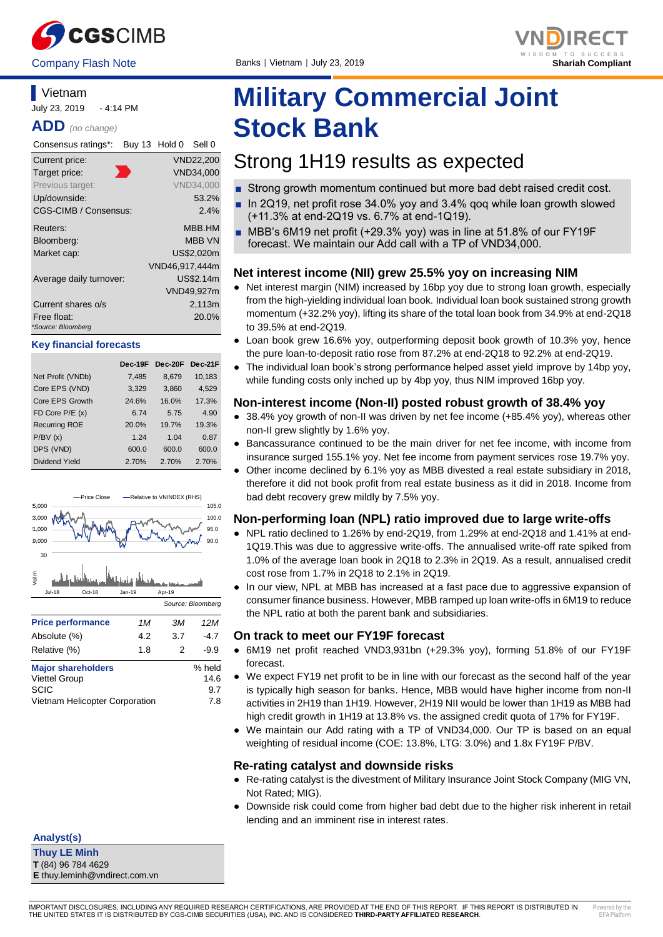



#### **Vietnam** July 23, 2019 - 4:14 PM

**ADD** *(no change)*

| Consensus ratings*:               | Buy 13 Hold 0  | Sell 0           |
|-----------------------------------|----------------|------------------|
| Current price:                    |                | VND22,200        |
| Target price:                     |                | VND34,000        |
| Previous target:                  |                | <b>VND34,000</b> |
| Up/downside:                      |                | 53.2%            |
| CGS-CIMB / Consensus:             |                | $2.4\%$          |
| Reuters:                          |                | MBB.HM           |
| Bloomberg:                        |                | <b>MBB VN</b>    |
| Market cap:                       |                | US\$2.020m       |
|                                   | VND46,917,444m |                  |
| Average daily turnover:           |                | US\$2.14m        |
|                                   |                | VND49,927m       |
| Current shares o/s                |                | 2,113m           |
| Free float:<br>*Source: Bloomberg |                | 20.0%            |

#### **Key financial forecasts**

|                      | Dec-19F | Dec-20F | Dec-21F |
|----------------------|---------|---------|---------|
| Net Profit (VNDb)    | 7,485   | 8,679   | 10,183  |
| Core EPS (VND)       | 3,329   | 3,860   | 4,529   |
| Core EPS Growth      | 24.6%   | 16.0%   | 17.3%   |
| FD Core $P/E(x)$     | 6.74    | 5.75    | 4.90    |
| <b>Recurring ROE</b> | 20.0%   | 19.7%   | 19.3%   |
| P/BV(x)              | 1.24    | 1.04    | 0.87    |
| DPS (VND)            | 600.0   | 600.0   | 600.0   |
| Dividend Yield       | 2.70%   | 2.70%   | 2.70%   |



Vietnam Helicopter Corporation 7.8

**Thuy LE Minh T** (84) 96 784 4629 **E** thuy.leminh@vndirect.com.vn

**Analyst(s)**

# **Military Commercial Joint Stock Bank**

## Strong 1H19 results as expected

- Strong growth momentum continued but more bad debt raised credit cost.
- In 2Q19, net profit rose 34.0% yoy and 3.4% gog while loan growth slowed (+11.3% at end-2Q19 vs. 6.7% at end-1Q19).
- MBB's 6M19 net profit (+29.3% yoy) was in line at 51.8% of our FY19F forecast. We maintain our Add call with a TP of VND34,000.

#### **Net interest income (NII) grew 25.5% yoy on increasing NIM**

- Net interest margin (NIM) increased by 16bp yoy due to strong loan growth, especially from the high-yielding individual loan book. Individual loan book sustained strong growth momentum (+32.2% yoy), lifting its share of the total loan book from 34.9% at end-2Q18 to 39.5% at end-2Q19.
- Loan book grew 16.6% yoy, outperforming deposit book growth of 10.3% yoy, hence the pure loan-to-deposit ratio rose from 87.2% at end-2Q18 to 92.2% at end-2Q19.
- The individual loan book's strong performance helped asset yield improve by 14bp yoy, while funding costs only inched up by 4bp yoy, thus NIM improved 16bp yoy.

#### **Non-interest income (Non-II) posted robust growth of 38.4% yoy**

- 38.4% yoy growth of non-II was driven by net fee income (+85.4% yoy), whereas other non-II grew slightly by 1.6% yoy.
- Bancassurance continued to be the main driver for net fee income, with income from insurance surged 155.1% yoy. Net fee income from payment services rose 19.7% yoy.
- Other income declined by 6.1% yoy as MBB divested a real estate subsidiary in 2018, therefore it did not book profit from real estate business as it did in 2018. Income from bad debt recovery grew mildly by 7.5% yoy.

#### **Non-performing loan (NPL) ratio improved due to large write-offs**

- NPL ratio declined to 1.26% by end-2Q19, from 1.29% at end-2Q18 and 1.41% at end-1Q19.This was due to aggressive write-offs. The annualised write-off rate spiked from 1.0% of the average loan book in 2Q18 to 2.3% in 2Q19. As a result, annualised credit cost rose from 1.7% in 2Q18 to 2.1% in 2Q19.
- In our view, NPL at MBB has increased at a fast pace due to aggressive expansion of consumer finance business. However, MBB ramped up loan write-offs in 6M19 to reduce the NPL ratio at both the parent bank and subsidiaries.

#### **On track to meet our FY19F forecast**

- 6M19 net profit reached VND3,931bn (+29.3% yoy), forming 51.8% of our FY19F forecast.
- We expect FY19 net profit to be in line with our forecast as the second half of the year is typically high season for banks. Hence, MBB would have higher income from non-II activities in 2H19 than 1H19. However, 2H19 NII would be lower than 1H19 as MBB had high credit growth in 1H19 at 13.8% vs. the assigned credit quota of 17% for FY19F.
- We maintain our Add rating with a TP of VND34,000. Our TP is based on an equal weighting of residual income (COE: 13.8%, LTG: 3.0%) and 1.8x FY19F P/BV.

#### **Re-rating catalyst and downside risks**

- Re-rating catalyst is the divestment of Military Insurance Joint Stock Company (MIG VN, Not Rated; MIG).
- Downside risk could come from higher bad debt due to the higher risk inherent in retail lending and an imminent rise in interest rates.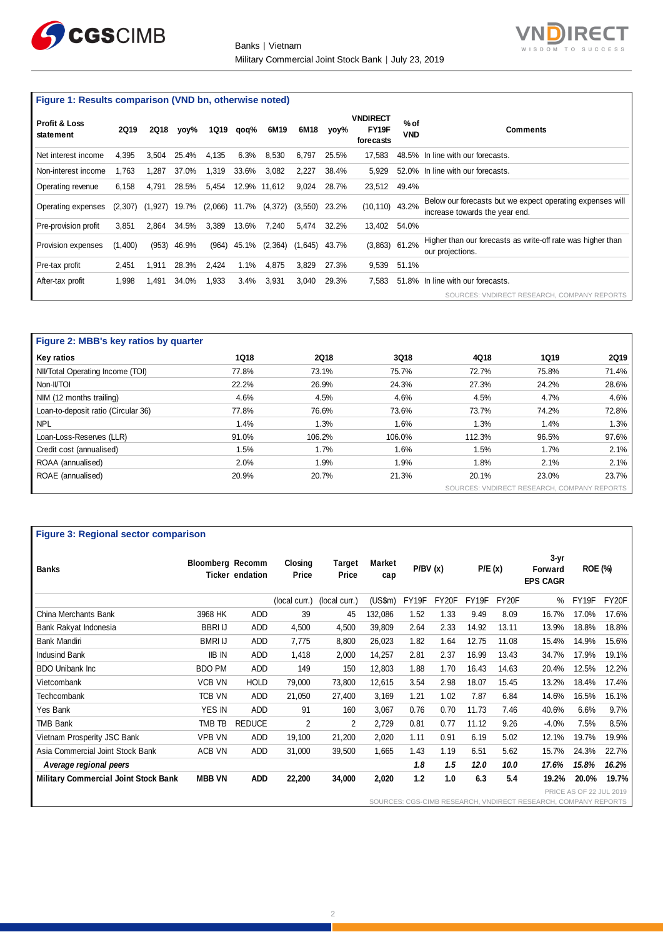



**Figure 1: Results comparison (VND bn, otherwise noted)**

| <b>Profit &amp; Loss</b><br>statement | <b>2Q19</b>         | 2Q18  | yoy%  | 1Q19    | qoq%  | 6M19    | 6M18     | vov%  | <b>VNDIRECT</b><br>FY19F<br>forecasts | $%$ of<br><b>VND</b> | <b>Comments</b>                                                                             |
|---------------------------------------|---------------------|-------|-------|---------|-------|---------|----------|-------|---------------------------------------|----------------------|---------------------------------------------------------------------------------------------|
| Net interest income                   | 4.395               | 3.504 | 25.4% | 4.135   | 6.3%  | 8.530   | 6.797    | 25.5% | 17.583                                |                      | 48.5% In line with our forecasts.                                                           |
| Non-interest income                   | 1.763               | .287  | 37.0% | 1.319   | 33.6% | 3.082   | 2.227    | 38.4% | 5.929                                 |                      | 52.0% In line with our forecasts.                                                           |
| Operating revenue                     | 6,158               | 4.791 | 28.5% | 5,454   | 12.9% | 11.612  | 9.024    | 28.7% | 23,512 49.4%                          |                      |                                                                                             |
| Operating expenses                    | $(2,307)$ $(1,927)$ |       | 19.7% | (2,066) | 11.7% | (4,372) | (3, 550) | 23.2% | $(10, 110)$ 43.2%                     |                      | Below our forecasts but we expect operating expenses will<br>increase towards the year end. |
| Pre-provision profit                  | 3.851               | 2.864 | 34.5% | 3,389   | 13.6% | 7.240   | 5.474    | 32.2% | 13.402 54.0%                          |                      |                                                                                             |
| Provision expenses                    | (1,400)             | (953) | 46.9% | (964)   | 45.1% | (2,364) | (1,645)  | 43.7% | (3,863)                               | 61.2%                | Higher than our forecasts as write-off rate was higher than<br>our projections.             |
| Pre-tax profit                        | 2,451               | .911  | 28.3% | 2.424   | 1.1%  | 4,875   | 3.829    | 27.3% | 9,539                                 | 51.1%                |                                                                                             |
| After-tax profit                      | 1,998               | .491  | 34.0% | 1,933   | 3.4%  | 3,931   | 3,040    | 29.3% | 7.583                                 |                      | 51.8% In line with our forecasts.                                                           |
|                                       |                     |       |       |         |       |         |          |       |                                       |                      | SOURCES: VNDIRECT RESEARCH, COMPANY REPORTS                                                 |

| Figure 2: MBB's key ratios by quarter |             |             |        |                                             |             |             |  |  |  |  |
|---------------------------------------|-------------|-------------|--------|---------------------------------------------|-------------|-------------|--|--|--|--|
| Key ratios                            | <b>1Q18</b> | <b>2Q18</b> | 3Q18   | 4Q18                                        | <b>1Q19</b> | <b>2Q19</b> |  |  |  |  |
| NII/Total Operating Income (TOI)      | 77.8%       | 73.1%       | 75.7%  | 72.7%                                       | 75.8%       | 71.4%       |  |  |  |  |
| Non-II/TOI                            | 22.2%       | 26.9%       | 24.3%  | 27.3%                                       | 24.2%       | 28.6%       |  |  |  |  |
| NIM (12 months trailing)              | 4.6%        | 4.5%        | 4.6%   | 4.5%                                        | 4.7%        | 4.6%        |  |  |  |  |
| Loan-to-deposit ratio (Circular 36)   | 77.8%       | 76.6%       | 73.6%  | 73.7%                                       | 74.2%       | 72.8%       |  |  |  |  |
| <b>NPL</b>                            | 1.4%        | 1.3%        | 1.6%   | 1.3%                                        | 1.4%        | 1.3%        |  |  |  |  |
| Loan-Loss-Reserves (LLR)              | 91.0%       | 106.2%      | 106.0% | 112.3%                                      | 96.5%       | 97.6%       |  |  |  |  |
| Credit cost (annualised)              | 1.5%        | 1.7%        | 1.6%   | 1.5%                                        | 1.7%        | 2.1%        |  |  |  |  |
| ROAA (annualised)                     | 2.0%        | 1.9%        | 1.9%   | 1.8%                                        | 2.1%        | 2.1%        |  |  |  |  |
| ROAE (annualised)                     | 20.9%       | 20.7%       | 21.3%  | 20.1%                                       | 23.0%       | 23.7%       |  |  |  |  |
|                                       |             |             |        | SOURCES: VNDIRECT RESEARCH, COMPANY REPORTS |             |             |  |  |  |  |

| <b>Figure 3: Regional sector comparison</b> |                         |                        |                  |                 |                      |         |       |        |       |                                                                |                         |       |
|---------------------------------------------|-------------------------|------------------------|------------------|-----------------|----------------------|---------|-------|--------|-------|----------------------------------------------------------------|-------------------------|-------|
| <b>Banks</b>                                | <b>Bloomberg Recomm</b> | <b>Ticker endation</b> | Closing<br>Price | Target<br>Price | <b>Market</b><br>cap | P/BV(x) |       | P/E(x) |       | $3 - yr$<br>Forward<br><b>EPS CAGR</b>                         | <b>ROE (%)</b>          |       |
|                                             |                         |                        | (local curr.)    | (local curr.)   | (US\$m)              | FY19F   | FY20F | FY19F  | FY20F | %                                                              | FY19F                   | FY20F |
| China Merchants Bank                        | 3968 HK                 | ADD                    | 39               | 45              | 132,086              | 1.52    | 1.33  | 9.49   | 8.09  | 16.7%                                                          | 17.0%                   | 17.6% |
| Bank Rakyat Indonesia                       | <b>BBRIU</b>            | <b>ADD</b>             | 4,500            | 4,500           | 39,809               | 2.64    | 2.33  | 14.92  | 13.11 | 13.9%                                                          | 18.8%                   | 18.8% |
| Bank Mandiri                                | <b>BMRI IJ</b>          | <b>ADD</b>             | 7,775            | 8,800           | 26,023               | 1.82    | 1.64  | 12.75  | 11.08 | 15.4%                                                          | 14.9%                   | 15.6% |
| <b>Indusind Bank</b>                        | <b>IIB IN</b>           | <b>ADD</b>             | 1,418            | 2,000           | 14,257               | 2.81    | 2.37  | 16.99  | 13.43 | 34.7%                                                          | 17.9%                   | 19.1% |
| <b>BDO Unibank Inc.</b>                     | <b>BDO PM</b>           | ADD                    | 149              | 150             | 12,803               | 1.88    | 1.70  | 16.43  | 14.63 | 20.4%                                                          | 12.5%                   | 12.2% |
| Vietcombank                                 | <b>VCB VN</b>           | <b>HOLD</b>            | 79,000           | 73,800          | 12,615               | 3.54    | 2.98  | 18.07  | 15.45 | 13.2%                                                          | 18.4%                   | 17.4% |
| Techcombank                                 | <b>TCB VN</b>           | <b>ADD</b>             | 21,050           | 27,400          | 3,169                | 1.21    | 1.02  | 7.87   | 6.84  | 14.6%                                                          | 16.5%                   | 16.1% |
| Yes Bank                                    | <b>YES IN</b>           | <b>ADD</b>             | 91               | 160             | 3,067                | 0.76    | 0.70  | 11.73  | 7.46  | 40.6%                                                          | 6.6%                    | 9.7%  |
| <b>TMB Bank</b>                             | TMB TB                  | <b>REDUCE</b>          | 2                | 2               | 2,729                | 0.81    | 0.77  | 11.12  | 9.26  | $-4.0%$                                                        | 7.5%                    | 8.5%  |
| Vietnam Prosperity JSC Bank                 | <b>VPB VN</b>           | ADD                    | 19,100           | 21,200          | 2,020                | 1.11    | 0.91  | 6.19   | 5.02  | 12.1%                                                          | 19.7%                   | 19.9% |
| Asia Commercial Joint Stock Bank            | ACB VN                  | ADD                    | 31,000           | 39,500          | 1,665                | 1.43    | 1.19  | 6.51   | 5.62  | 15.7%                                                          | 24.3%                   | 22.7% |
| A verage regional peers                     |                         |                        |                  |                 |                      | 1.8     | 1.5   | 12.0   | 10.0  | 17.6%                                                          | 15.8%                   | 16.2% |
| <b>Military Commercial Joint Stock Bank</b> | <b>MBB VN</b>           | <b>ADD</b>             | 22,200           | 34,000          | 2,020                | 1.2     | 1.0   | 6.3    | 5.4   | 19.2%                                                          | 20.0%                   | 19.7% |
|                                             |                         |                        |                  |                 |                      |         |       |        |       | SOURCES: CGS-CIMB RESEARCH, VNDIRECT RESEARCH, COMPANY REPORTS | PRICE AS OF 22 JUL 2019 |       |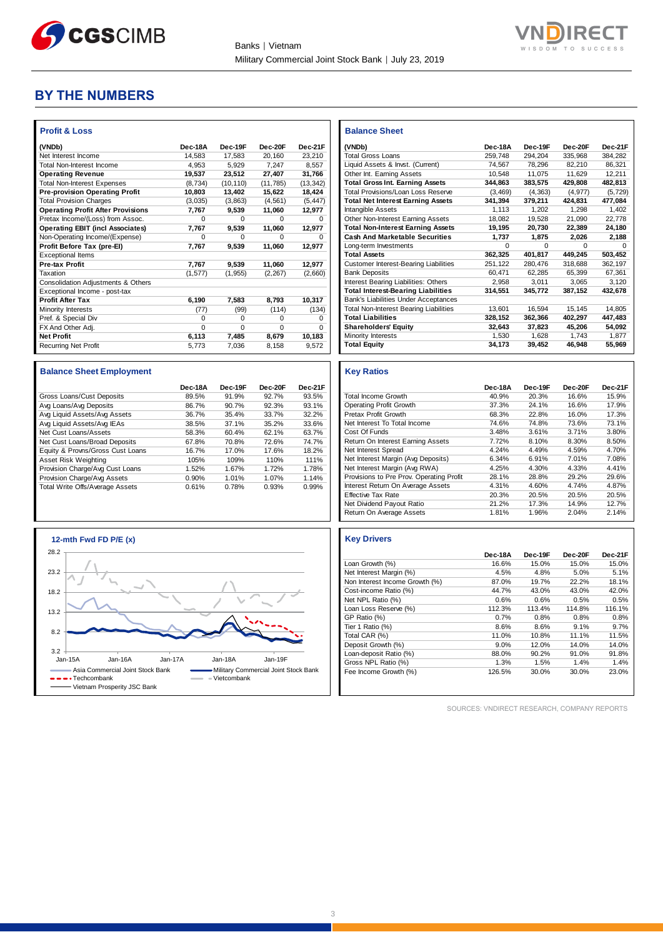



### **BY THE NUMBERS**

| <b>Profit &amp; Loss</b>                 |          |           |           |           |
|------------------------------------------|----------|-----------|-----------|-----------|
| (VNDb)                                   | Dec-18A  | Dec-19F   | Dec-20F   | Dec-21F   |
| Net Interest Income                      | 14.583   | 17.583    | 20.160    | 23.210    |
| <b>Total Non-Interest Income</b>         | 4.953    | 5,929     | 7,247     | 8,557     |
| <b>Operating Revenue</b>                 | 19,537   | 23,512    | 27,407    | 31,766    |
| <b>Total Non-Interest Expenses</b>       | (8, 734) | (10, 110) | (11, 785) | (13, 342) |
| <b>Pre-provision Operating Profit</b>    | 10,803   | 13,402    | 15,622    | 18,424    |
| <b>Total Provision Charges</b>           | (3,035)  | (3, 863)  | (4, 561)  | (5, 447)  |
| <b>Operating Profit After Provisions</b> | 7.767    | 9,539     | 11,060    | 12,977    |
| Pretax Income/(Loss) from Assoc.         | $\Omega$ | $\Omega$  | $\Omega$  | 0         |
| <b>Operating EBIT (incl Associates)</b>  | 7,767    | 9,539     | 11,060    | 12,977    |
| Non-Operating Income/(Expense)           | $\Omega$ | $\Omega$  | $\Omega$  | $\Omega$  |
| Profit Before Tax (pre-El)               | 7,767    | 9,539     | 11,060    | 12,977    |
| <b>Exceptional Items</b>                 |          |           |           |           |
| Pre-tax Profit                           | 7,767    | 9,539     | 11,060    | 12,977    |
| Taxation                                 | (1, 577) | (1, 955)  | (2, 267)  | (2,660)   |
| Consolidation Adjustments & Others       |          |           |           |           |
| Exceptional Income - post-tax            |          |           |           |           |
| <b>Profit After Tax</b>                  | 6,190    | 7,583     | 8,793     | 10,317    |
| Minority Interests                       | (77)     | (99)      | (114)     | (134)     |
| Pref. & Special Div                      | $\Omega$ | $\Omega$  | $\Omega$  | 0         |
| FX And Other Adj.                        | $\Omega$ | $\Omega$  | $\Omega$  | $\Omega$  |
| <b>Net Profit</b>                        | 6,113    | 7,485     | 8,679     | 10,183    |
| <b>Recurring Net Profit</b>              | 5,773    | 7,036     | 8,158     | 9,572     |

| <b>Balance Sheet Employment</b>  |         |         |         |         |
|----------------------------------|---------|---------|---------|---------|
|                                  | Dec-18A | Dec-19F | Dec-20F | Dec-21F |
| Gross Loans/Cust Deposits        | 89.5%   | 91.9%   | 92.7%   | 93.5%   |
| Avg Loans/Avg Deposits           | 86.7%   | 90.7%   | 92.3%   | 93.1%   |
| Avg Liquid Assets/Avg Assets     | 36.7%   | 35.4%   | 33.7%   | 32.2%   |
| Avg Liquid Assets/Avg IEAs       | 38.5%   | 37.1%   | 35.2%   | 33.6%   |
| Net Cust Loans/Assets            | 58.3%   | 60.4%   | 62.1%   | 63.7%   |
| Net Cust Loans/Broad Deposits    | 67.8%   | 70.8%   | 72.6%   | 74.7%   |
| Equity & Provns/Gross Cust Loans | 16.7%   | 17.0%   | 17.6%   | 18.2%   |
| Asset Risk Weighting             | 105%    | 109%    | 110%    | 111%    |
| Provision Charge/Avg Cust Loans  | 1.52%   | 1.67%   | 1.72%   | 1.78%   |
| Provision Charge/Avg Assets      | 0.90%   | 1.01%   | 1.07%   | 1.14%   |
| Total Write Offs/Average Assets  | 0.61%   | 0.78%   | 0.93%   | 0.99%   |



| <b>Balance Sheet</b>                          |          |          |          |          |
|-----------------------------------------------|----------|----------|----------|----------|
| (VNDb)                                        | Dec-18A  | Dec-19F  | Dec-20E  | Dec-21F  |
| <b>Total Gross Loans</b>                      | 259.748  | 294,204  | 335.968  | 384,282  |
| Liquid Assets & Invst. (Current)              | 74,567   | 78,296   | 82,210   | 86.321   |
| Other Int. Earning Assets                     | 10,548   | 11,075   | 11,629   | 12,211   |
| <b>Total Gross Int. Earning Assets</b>        | 344.863  | 383.575  | 429,808  | 482,813  |
| Total Provisions/Loan Loss Reserve            | (3, 469) | (4.363)  | (4.977)  | (5, 729) |
| <b>Total Net Interest Earning Assets</b>      | 341,394  | 379,211  | 424,831  | 477,084  |
| Intangible Assets                             | 1.113    | 1.202    | 1.298    | 1.402    |
| Other Non-Interest Earning Assets             | 18,082   | 19.528   | 21,090   | 22,778   |
| <b>Total Non-Interest Earning Assets</b>      | 19.195   | 20.730   | 22.389   | 24.180   |
| <b>Cash And Marketable Securities</b>         | 1,737    | 1,875    | 2,026    | 2,188    |
| Long-term Investments                         | $\Omega$ | $\Omega$ | $\Omega$ | $\Omega$ |
| <b>Total Assets</b>                           | 362.325  | 401,817  | 449,245  | 503,452  |
| <b>Customer Interest-Bearing Liabilities</b>  | 251,122  | 280.476  | 318,688  | 362,197  |
| <b>Bank Deposits</b>                          | 60.471   | 62.285   | 65.399   | 67.361   |
| Interest Bearing Liabilities: Others          | 2.958    | 3,011    | 3.065    | 3.120    |
| <b>Total Interest-Bearing Liabilities</b>     | 314,551  | 345.772  | 387,152  | 432,678  |
| <b>Bank's Liabilities Under Acceptances</b>   |          |          |          |          |
| <b>Total Non-Interest Bearing Liabilities</b> | 13,601   | 16,594   | 15.145   | 14.805   |
| <b>Total Liabilities</b>                      | 328.152  | 362.366  | 402.297  | 447,483  |
| <b>Shareholders' Equity</b>                   | 32,643   | 37,823   | 45,206   | 54,092   |
| Minority Interests                            | 1,530    | 1.628    | 1,743    | 1,877    |
| <b>Total Equity</b>                           | 34,173   | 39,452   | 46,948   | 55,969   |

#### **Key Ratios**

|                                          | Dec-18A | Dec-19F | Dec-20F | Dec-21F |
|------------------------------------------|---------|---------|---------|---------|
| <b>Total Income Growth</b>               | 40.9%   | 20.3%   | 16.6%   | 15.9%   |
| <b>Operating Profit Growth</b>           | 37.3%   | 24.1%   | 16.6%   | 17.9%   |
| Pretax Profit Growth                     | 68.3%   | 22.8%   | 16.0%   | 17.3%   |
| Net Interest To Total Income             | 74.6%   | 74.8%   | 73.6%   | 73.1%   |
| Cost Of Funds                            | 3.48%   | 3.61%   | 3.71%   | 3.80%   |
| Return On Interest Earning Assets        | 7.72%   | 8.10%   | 8.30%   | 8.50%   |
| Net Interest Spread                      | 4.24%   | 4.49%   | 4.59%   | 4.70%   |
| Net Interest Margin (Avg Deposits)       | 6.34%   | 6.91%   | 7.01%   | 7.08%   |
| Net Interest Margin (Avg RWA)            | 4.25%   | 4.30%   | 4.33%   | 4.41%   |
| Provisions to Pre Prov. Operating Profit | 28.1%   | 28.8%   | 29.2%   | 29.6%   |
| Interest Return On Average Assets        | 4.31%   | 4.60%   | 4.74%   | 4.87%   |
| <b>Effective Tax Rate</b>                | 20.3%   | 20.5%   | 20.5%   | 20.5%   |
| Net Dividend Payout Ratio                | 21.2%   | 17.3%   | 14.9%   | 12.7%   |
| Return On Average Assets                 | 1.81%   | 1.96%   | 2.04%   | 2.14%   |

#### **Key Drivers**

|                                | Dec-18A | Dec-19F  | Dec-20F  | Dec-21F |
|--------------------------------|---------|----------|----------|---------|
| Loan Growth (%)                | 16.6%   | 15.0%    | 15.0%    | 15.0%   |
| Net Interest Margin (%)        | 4.5%    | 4.8%     | 5.0%     | 5.1%    |
| Non Interest Income Growth (%) | 87.0%   | 19.7%    | 22.2%    | 18.1%   |
| Cost-income Ratio (%)          | 44.7%   | 43.0%    | 43.0%    | 42.0%   |
| Net NPL Ratio (%)              | 0.6%    | 0.6%     | 0.5%     | 0.5%    |
| Loan Loss Reserve (%)          | 112.3%  | 113.4%   | 114.8%   | 116.1%  |
| GP Ratio (%)                   | 0.7%    | 0.8%     | 0.8%     | 0.8%    |
| Tier 1 Ratio (%)               | 8.6%    | 8.6%     | 9.1%     | 9.7%    |
| Total CAR (%)                  | 11.0%   | 10.8%    | 11.1%    | 11.5%   |
| Deposit Growth (%)             | 9.0%    | 12.0%    | 14.0%    | 14.0%   |
| Loan-deposit Ratio (%)         | 88.0%   | 90.2%    | 91.0%    | 91.8%   |
| Gross NPL Ratio (%)            | 1.3%    | 1.5%     | 1.4%     | 1.4%    |
| Fee Income Growth (%)          | 126.5%  | $30.0\%$ | $30.0\%$ | 23.0%   |

SOURCES: VNDIRECT RESEARCH, COMPANY REPORTS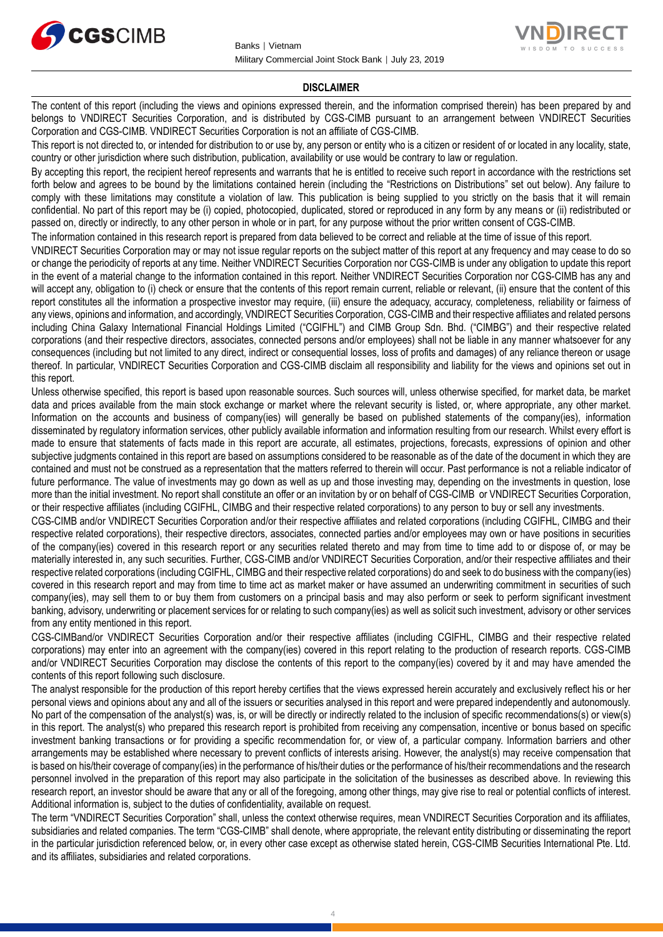



#### **DISCLAIMER**

The content of this report (including the views and opinions expressed therein, and the information comprised therein) has been prepared by and belongs to VNDIRECT Securities Corporation, and is distributed by CGS-CIMB pursuant to an arrangement between VNDIRECT Securities Corporation and CGS-CIMB. VNDIRECT Securities Corporation is not an affiliate of CGS-CIMB.

This report is not directed to, or intended for distribution to or use by, any person or entity who is a citizen or resident of or located in any locality, state, country or other jurisdiction where such distribution, publication, availability or use would be contrary to law or regulation.

By accepting this report, the recipient hereof represents and warrants that he is entitled to receive such report in accordance with the restrictions set forth below and agrees to be bound by the limitations contained herein (including the "Restrictions on Distributions" set out below). Any failure to comply with these limitations may constitute a violation of law. This publication is being supplied to you strictly on the basis that it will remain confidential. No part of this report may be (i) copied, photocopied, duplicated, stored or reproduced in any form by any means or (ii) redistributed or passed on, directly or indirectly, to any other person in whole or in part, for any purpose without the prior written consent of CGS-CIMB.

The information contained in this research report is prepared from data believed to be correct and reliable at the time of issue of this report.

VNDIRECT Securities Corporation may or may not issue regular reports on the subject matter of this report at any frequency and may cease to do so or change the periodicity of reports at any time. Neither VNDIRECT Securities Corporation nor CGS-CIMB is under any obligation to update this report in the event of a material change to the information contained in this report. Neither VNDIRECT Securities Corporation nor CGS-CIMB has any and will accept any, obligation to (i) check or ensure that the contents of this report remain current, reliable or relevant, (ii) ensure that the content of this report constitutes all the information a prospective investor may require, (iii) ensure the adequacy, accuracy, completeness, reliability or fairness of any views, opinions and information, and accordingly, VNDIRECT Securities Corporation, CGS-CIMB and their respective affiliates and related persons including China Galaxy International Financial Holdings Limited ("CGIFHL") and CIMB Group Sdn. Bhd. ("CIMBG") and their respective related corporations (and their respective directors, associates, connected persons and/or employees) shall not be liable in any manner whatsoever for any consequences (including but not limited to any direct, indirect or consequential losses, loss of profits and damages) of any reliance thereon or usage thereof. In particular, VNDIRECT Securities Corporation and CGS-CIMB disclaim all responsibility and liability for the views and opinions set out in this report.

Unless otherwise specified, this report is based upon reasonable sources. Such sources will, unless otherwise specified, for market data, be market data and prices available from the main stock exchange or market where the relevant security is listed, or, where appropriate, any other market. Information on the accounts and business of company(ies) will generally be based on published statements of the company(ies), information disseminated by regulatory information services, other publicly available information and information resulting from our research. Whilst every effort is made to ensure that statements of facts made in this report are accurate, all estimates, projections, forecasts, expressions of opinion and other subjective judgments contained in this report are based on assumptions considered to be reasonable as of the date of the document in which they are contained and must not be construed as a representation that the matters referred to therein will occur. Past performance is not a reliable indicator of future performance. The value of investments may go down as well as up and those investing may, depending on the investments in question, lose more than the initial investment. No report shall constitute an offer or an invitation by or on behalf of CGS-CIMB or VNDIRECT Securities Corporation, or their respective affiliates (including CGIFHL, CIMBG and their respective related corporations) to any person to buy or sell any investments.

CGS-CIMB and/or VNDIRECT Securities Corporation and/or their respective affiliates and related corporations (including CGIFHL, CIMBG and their respective related corporations), their respective directors, associates, connected parties and/or employees may own or have positions in securities of the company(ies) covered in this research report or any securities related thereto and may from time to time add to or dispose of, or may be materially interested in, any such securities. Further, CGS-CIMB and/or VNDIRECT Securities Corporation, and/or their respective affiliates and their respective related corporations (including CGIFHL, CIMBG and their respective related corporations) do and seek to do business with the company(ies) covered in this research report and may from time to time act as market maker or have assumed an underwriting commitment in securities of such company(ies), may sell them to or buy them from customers on a principal basis and may also perform or seek to perform significant investment banking, advisory, underwriting or placement services for or relating to such company(ies) as well as solicit such investment, advisory or other services from any entity mentioned in this report.

CGS-CIMBand/or VNDIRECT Securities Corporation and/or their respective affiliates (including CGIFHL, CIMBG and their respective related corporations) may enter into an agreement with the company(ies) covered in this report relating to the production of research reports. CGS-CIMB and/or VNDIRECT Securities Corporation may disclose the contents of this report to the company(ies) covered by it and may have amended the contents of this report following such disclosure.

The analyst responsible for the production of this report hereby certifies that the views expressed herein accurately and exclusively reflect his or her personal views and opinions about any and all of the issuers or securities analysed in this report and were prepared independently and autonomously. No part of the compensation of the analyst(s) was, is, or will be directly or indirectly related to the inclusion of specific recommendations(s) or view(s) in this report. The analyst(s) who prepared this research report is prohibited from receiving any compensation, incentive or bonus based on specific investment banking transactions or for providing a specific recommendation for, or view of, a particular company. Information barriers and other arrangements may be established where necessary to prevent conflicts of interests arising. However, the analyst(s) may receive compensation that is based on his/their coverage of company(ies) in the performance of his/their duties or the performance of his/their recommendations and the research personnel involved in the preparation of this report may also participate in the solicitation of the businesses as described above. In reviewing this research report, an investor should be aware that any or all of the foregoing, among other things, may give rise to real or potential conflicts of interest. Additional information is, subject to the duties of confidentiality, available on request.

The term "VNDIRECT Securities Corporation" shall, unless the context otherwise requires, mean VNDIRECT Securities Corporation and its affiliates, subsidiaries and related companies. The term "CGS-CIMB" shall denote, where appropriate, the relevant entity distributing or disseminating the report in the particular jurisdiction referenced below, or, in every other case except as otherwise stated herein, CGS-CIMB Securities International Pte. Ltd. and its affiliates, subsidiaries and related corporations.

4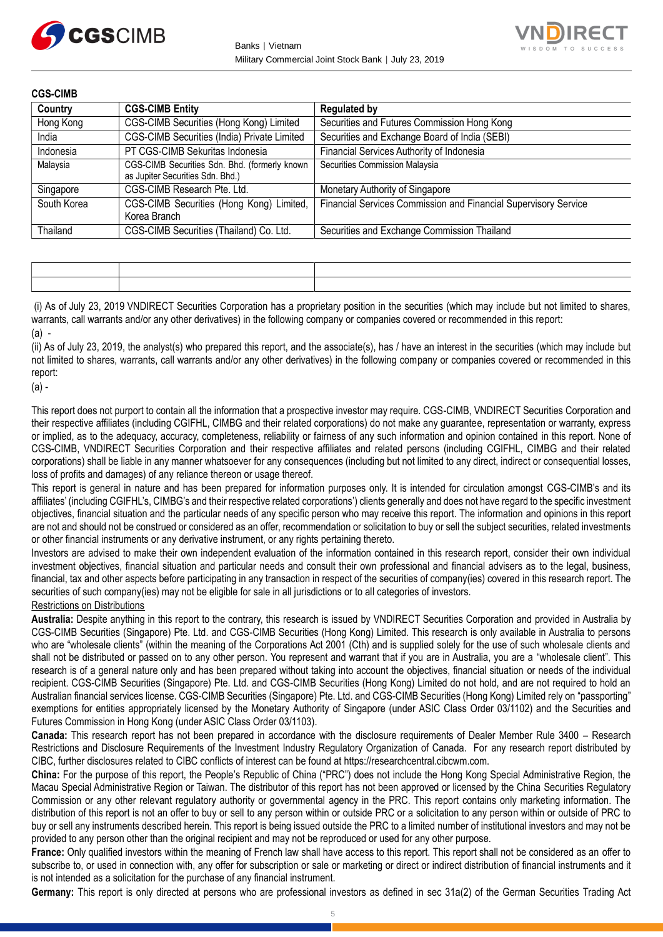



**CGS-CIMB Country CGS-CIMB Entity Requlated by** Hong Kong CGS-CIMB Securities (Hong Kong) Limited | Securities and Futures Commission Hong Kong India CGS-CIMB Securities (India) Private Limited Securities and Exchange Board of India (SEBI) Indonesia PT CGS-CIMB Sekuritas Indonesia Financial Services Authority of Indonesia Malaysia CGS-CIMB Securities Sdn. Bhd. (formerly known as Jupiter Securities Sdn. Bhd.) Securities Commission Malaysia Singapore CGS-CIMB Research Pte. Ltd. Monetary Authority of Singapore South Korea **CGS-CIMB** Securities (Hong Kong) Limited, Korea Branch Financial Services Commission and Financial Supervisory Service Thailand CGS-CIMB Securities (Thailand) Co. Ltd. Securities and Exchange Commission Thailand

(i) As of July 23, 2019 VNDIRECT Securities Corporation has a proprietary position in the securities (which may include but not limited to shares, warrants, call warrants and/or any other derivatives) in the following company or companies covered or recommended in this report: (a) -

(ii) As of July 23, 2019, the analyst(s) who prepared this report, and the associate(s), has / have an interest in the securities (which may include but not limited to shares, warrants, call warrants and/or any other derivatives) in the following company or companies covered or recommended in this report:

(a) -

This report does not purport to contain all the information that a prospective investor may require. CGS-CIMB, VNDIRECT Securities Corporation and their respective affiliates (including CGIFHL, CIMBG and their related corporations) do not make any guarantee, representation or warranty, express or implied, as to the adequacy, accuracy, completeness, reliability or fairness of any such information and opinion contained in this report. None of CGS-CIMB, VNDIRECT Securities Corporation and their respective affiliates and related persons (including CGIFHL, CIMBG and their related corporations) shall be liable in any manner whatsoever for any consequences (including but not limited to any direct, indirect or consequential losses, loss of profits and damages) of any reliance thereon or usage thereof.

This report is general in nature and has been prepared for information purposes only. It is intended for circulation amongst CGS-CIMB's and its affiliates' (including CGIFHL's, CIMBG's and their respective related corporations') clients generally and does not have regard to the specific investment objectives, financial situation and the particular needs of any specific person who may receive this report. The information and opinions in this report are not and should not be construed or considered as an offer, recommendation or solicitation to buy or sell the subject securities, related investments or other financial instruments or any derivative instrument, or any rights pertaining thereto.

Investors are advised to make their own independent evaluation of the information contained in this research report, consider their own individual investment objectives, financial situation and particular needs and consult their own professional and financial advisers as to the legal, business, financial, tax and other aspects before participating in any transaction in respect of the securities of company(ies) covered in this research report. The securities of such company(ies) may not be eligible for sale in all jurisdictions or to all categories of investors.

Restrictions on Distributions

**Australia:** Despite anything in this report to the contrary, this research is issued by VNDIRECT Securities Corporation and provided in Australia by CGS-CIMB Securities (Singapore) Pte. Ltd. and CGS-CIMB Securities (Hong Kong) Limited. This research is only available in Australia to persons who are "wholesale clients" (within the meaning of the Corporations Act 2001 (Cth) and is supplied solely for the use of such wholesale clients and shall not be distributed or passed on to any other person. You represent and warrant that if you are in Australia, you are a "wholesale client". This research is of a general nature only and has been prepared without taking into account the objectives, financial situation or needs of the individual recipient. CGS-CIMB Securities (Singapore) Pte. Ltd. and CGS-CIMB Securities (Hong Kong) Limited do not hold, and are not required to hold an Australian financial services license. CGS-CIMB Securities (Singapore) Pte. Ltd. and CGS-CIMB Securities (Hong Kong) Limited rely on "passporting" exemptions for entities appropriately licensed by the Monetary Authority of Singapore (under ASIC Class Order 03/1102) and the Securities and Futures Commission in Hong Kong (under ASIC Class Order 03/1103).

**Canada:** This research report has not been prepared in accordance with the disclosure requirements of Dealer Member Rule 3400 – Research Restrictions and Disclosure Requirements of the Investment Industry Regulatory Organization of Canada. For any research report distributed by CIBC, further disclosures related to CIBC conflicts of interest can be found at https://researchcentral.cibcwm.com.

**China:** For the purpose of this report, the People's Republic of China ("PRC") does not include the Hong Kong Special Administrative Region, the Macau Special Administrative Region or Taiwan. The distributor of this report has not been approved or licensed by the China Securities Regulatory Commission or any other relevant regulatory authority or governmental agency in the PRC. This report contains only marketing information. The distribution of this report is not an offer to buy or sell to any person within or outside PRC or a solicitation to any person within or outside of PRC to buy or sell any instruments described herein. This report is being issued outside the PRC to a limited number of institutional investors and may not be provided to any person other than the original recipient and may not be reproduced or used for any other purpose.

**France:** Only qualified investors within the meaning of French law shall have access to this report. This report shall not be considered as an offer to subscribe to, or used in connection with, any offer for subscription or sale or marketing or direct or indirect distribution of financial instruments and it is not intended as a solicitation for the purchase of any financial instrument.

**Germany:** This report is only directed at persons who are professional investors as defined in sec 31a(2) of the German Securities Trading Act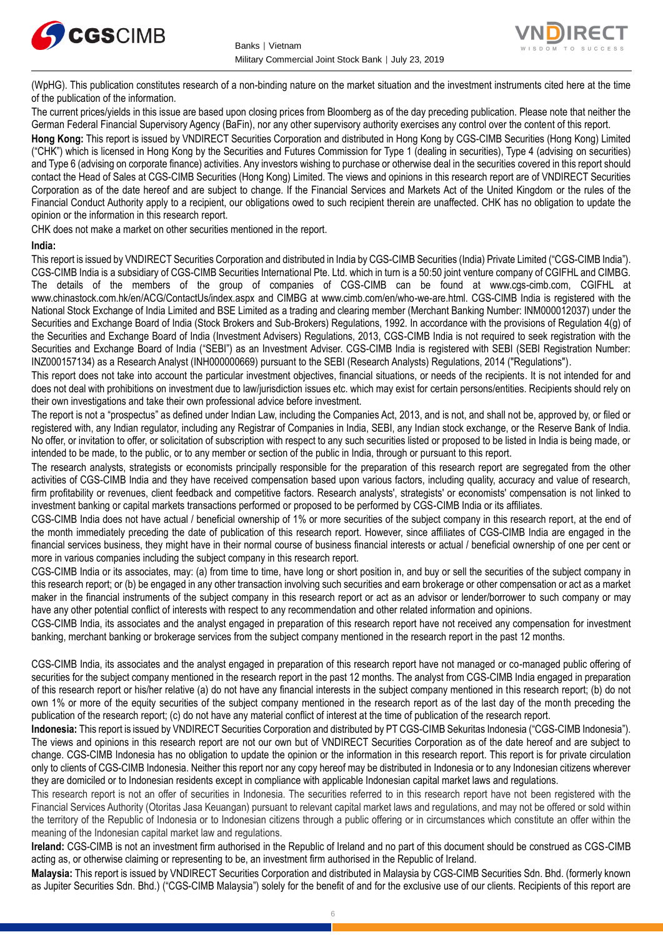



(WpHG). This publication constitutes research of a non-binding nature on the market situation and the investment instruments cited here at the time of the publication of the information.

The current prices/yields in this issue are based upon closing prices from Bloomberg as of the day preceding publication. Please note that neither the German Federal Financial Supervisory Agency (BaFin), nor any other supervisory authority exercises any control over the content of this report.

**Hong Kong:** This report is issued by VNDIRECT Securities Corporation and distributed in Hong Kong by CGS-CIMB Securities (Hong Kong) Limited ("CHK") which is licensed in Hong Kong by the Securities and Futures Commission for Type 1 (dealing in securities), Type 4 (advising on securities) and Type 6 (advising on corporate finance) activities. Any investors wishing to purchase or otherwise deal in the securities covered in this report should contact the Head of Sales at CGS-CIMB Securities (Hong Kong) Limited. The views and opinions in this research report are of VNDIRECT Securities Corporation as of the date hereof and are subject to change. If the Financial Services and Markets Act of the United Kingdom or the rules of the Financial Conduct Authority apply to a recipient, our obligations owed to such recipient therein are unaffected. CHK has no obligation to update the opinion or the information in this research report.

CHK does not make a market on other securities mentioned in the report.

#### **India:**

This report is issued by VNDIRECT Securities Corporation and distributed in India by CGS-CIMB Securities (India) Private Limited ("CGS-CIMB India"). CGS-CIMB India is a subsidiary of CGS-CIMB Securities International Pte. Ltd. which in turn is a 50:50 joint venture company of CGIFHL and CIMBG. The details of the members of the group of companies of CGS-CIMB can be found at www.cgs-cimb.com, CGIFHL at www.chinastock.com.hk/en/ACG/ContactUs/index.aspx and CIMBG at www.cimb.com/en/who-we-are.html. CGS-CIMB India is registered with the National Stock Exchange of India Limited and BSE Limited as a trading and clearing member (Merchant Banking Number: INM000012037) under the Securities and Exchange Board of India (Stock Brokers and Sub-Brokers) Regulations, 1992. In accordance with the provisions of Regulation 4(g) of the Securities and Exchange Board of India (Investment Advisers) Regulations, 2013, CGS-CIMB India is not required to seek registration with the Securities and Exchange Board of India ("SEBI") as an Investment Adviser. CGS-CIMB India is registered with SEBI (SEBI Registration Number: INZ000157134) as a Research Analyst (INH000000669) pursuant to the SEBI (Research Analysts) Regulations, 2014 ("Regulations").

This report does not take into account the particular investment objectives, financial situations, or needs of the recipients. It is not intended for and does not deal with prohibitions on investment due to law/jurisdiction issues etc. which may exist for certain persons/entities. Recipients should rely on their own investigations and take their own professional advice before investment.

The report is not a "prospectus" as defined under Indian Law, including the Companies Act, 2013, and is not, and shall not be, approved by, or filed or registered with, any Indian regulator, including any Registrar of Companies in India, SEBI, any Indian stock exchange, or the Reserve Bank of India. No offer, or invitation to offer, or solicitation of subscription with respect to any such securities listed or proposed to be listed in India is being made, or intended to be made, to the public, or to any member or section of the public in India, through or pursuant to this report.

The research analysts, strategists or economists principally responsible for the preparation of this research report are segregated from the other activities of CGS-CIMB India and they have received compensation based upon various factors, including quality, accuracy and value of research, firm profitability or revenues, client feedback and competitive factors. Research analysts', strategists' or economists' compensation is not linked to investment banking or capital markets transactions performed or proposed to be performed by CGS-CIMB India or its affiliates.

CGS-CIMB India does not have actual / beneficial ownership of 1% or more securities of the subject company in this research report, at the end of the month immediately preceding the date of publication of this research report. However, since affiliates of CGS-CIMB India are engaged in the financial services business, they might have in their normal course of business financial interests or actual / beneficial ownership of one per cent or more in various companies including the subject company in this research report.

CGS-CIMB India or its associates, may: (a) from time to time, have long or short position in, and buy or sell the securities of the subject company in this research report; or (b) be engaged in any other transaction involving such securities and earn brokerage or other compensation or act as a market maker in the financial instruments of the subject company in this research report or act as an advisor or lender/borrower to such company or may have any other potential conflict of interests with respect to any recommendation and other related information and opinions.

CGS-CIMB India, its associates and the analyst engaged in preparation of this research report have not received any compensation for investment banking, merchant banking or brokerage services from the subject company mentioned in the research report in the past 12 months.

CGS-CIMB India, its associates and the analyst engaged in preparation of this research report have not managed or co-managed public offering of securities for the subject company mentioned in the research report in the past 12 months. The analyst from CGS-CIMB India engaged in preparation of this research report or his/her relative (a) do not have any financial interests in the subject company mentioned in this research report; (b) do not own 1% or more of the equity securities of the subject company mentioned in the research report as of the last day of the month preceding the publication of the research report; (c) do not have any material conflict of interest at the time of publication of the research report.

**Indonesia:** This report is issued by VNDIRECT Securities Corporation and distributed by PT CGS-CIMB Sekuritas Indonesia ("CGS-CIMB Indonesia"). The views and opinions in this research report are not our own but of VNDIRECT Securities Corporation as of the date hereof and are subject to change. CGS-CIMB Indonesia has no obligation to update the opinion or the information in this research report. This report is for private circulation only to clients of CGS-CIMB Indonesia. Neither this report nor any copy hereof may be distributed in Indonesia or to any Indonesian citizens wherever they are domiciled or to Indonesian residents except in compliance with applicable Indonesian capital market laws and regulations.

This research report is not an offer of securities in Indonesia. The securities referred to in this research report have not been registered with the Financial Services Authority (Otoritas Jasa Keuangan) pursuant to relevant capital market laws and regulations, and may not be offered or sold within the territory of the Republic of Indonesia or to Indonesian citizens through a public offering or in circumstances which constitute an offer within the meaning of the Indonesian capital market law and regulations.

**Ireland:** CGS-CIMB is not an investment firm authorised in the Republic of Ireland and no part of this document should be construed as CGS-CIMB acting as, or otherwise claiming or representing to be, an investment firm authorised in the Republic of Ireland.

**Malaysia:** This report is issued by VNDIRECT Securities Corporation and distributed in Malaysia by CGS-CIMB Securities Sdn. Bhd. (formerly known as Jupiter Securities Sdn. Bhd.) ("CGS-CIMB Malaysia") solely for the benefit of and for the exclusive use of our clients. Recipients of this report are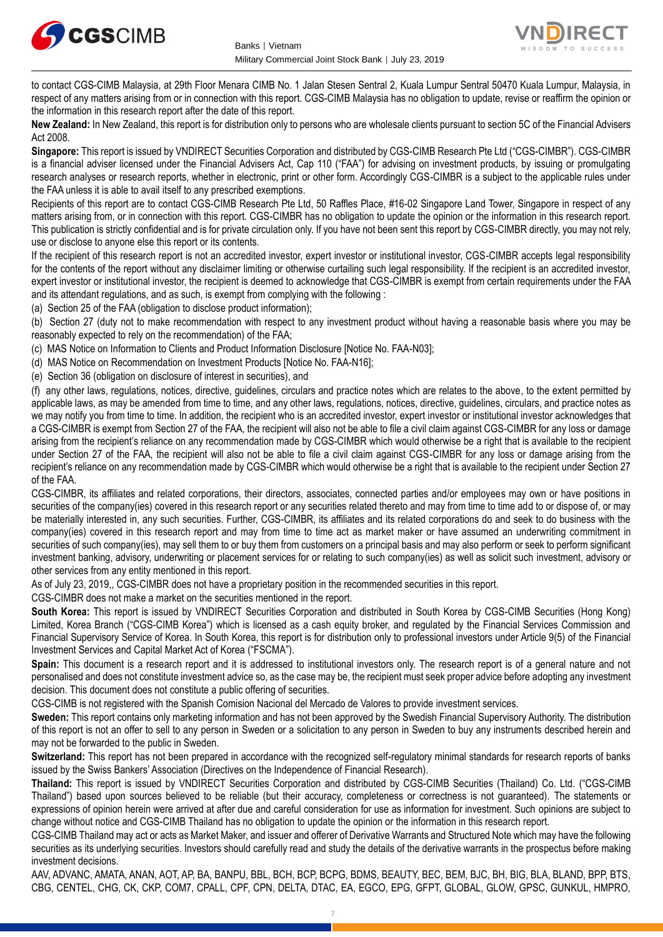



to contact CGS-CIMB Malaysia, at 29th Floor Menara CIMB No. 1 Jalan Stesen Sentral 2, Kuala Lumpur Sentral 50470 Kuala Lumpur, Malaysia, in respect of any matters arising from or in connection with this report. CGS-CIMB Malaysia has no obligation to update, revise or reaffirm the opinion or the information in this research report after the date of this report.

**New Zealand:** In New Zealand, this report is for distribution only to persons who are wholesale clients pursuant to section 5C of the Financial Advisers Act 2008.

**Singapore:** This report is issued by VNDIRECT Securities Corporation and distributed by CGS-CIMB Research Pte Ltd ("CGS-CIMBR"). CGS-CIMBR is a financial adviser licensed under the Financial Advisers Act, Cap 110 ("FAA") for advising on investment products, by issuing or promulgating research analyses or research reports, whether in electronic, print or other form. Accordingly CGS-CIMBR is a subject to the applicable rules under the FAA unless it is able to avail itself to any prescribed exemptions.

Recipients of this report are to contact CGS-CIMB Research Pte Ltd, 50 Raffles Place, #16-02 Singapore Land Tower, Singapore in respect of any matters arising from, or in connection with this report. CGS-CIMBR has no obligation to update the opinion or the information in this research report. This publication is strictly confidential and is for private circulation only. If you have not been sent this report by CGS-CIMBR directly, you may not rely, use or disclose to anyone else this report or its contents.

If the recipient of this research report is not an accredited investor, expert investor or institutional investor, CGS-CIMBR accepts legal responsibility for the contents of the report without any disclaimer limiting or otherwise curtailing such legal responsibility. If the recipient is an accredited investor, expert investor or institutional investor, the recipient is deemed to acknowledge that CGS-CIMBR is exempt from certain requirements under the FAA and its attendant regulations, and as such, is exempt from complying with the following :

(a) Section 25 of the FAA (obligation to disclose product information);

(b) Section 27 (duty not to make recommendation with respect to any investment product without having a reasonable basis where you may be reasonably expected to rely on the recommendation) of the FAA;

(c) MAS Notice on Information to Clients and Product Information Disclosure [Notice No. FAA-N03];

(d) MAS Notice on Recommendation on Investment Products [Notice No. FAA-N16];

(e) Section 36 (obligation on disclosure of interest in securities), and

(f) any other laws, regulations, notices, directive, guidelines, circulars and practice notes which are relates to the above, to the extent permitted by applicable laws, as may be amended from time to time, and any other laws, regulations, notices, directive, guidelines, circulars, and practice notes as we may notify you from time to time. In addition, the recipient who is an accredited investor, expert investor or institutional investor acknowledges that a CGS-CIMBR is exempt from Section 27 of the FAA, the recipient will also not be able to file a civil claim against CGS-CIMBR for any loss or damage arising from the recipient's reliance on any recommendation made by CGS-CIMBR which would otherwise be a right that is available to the recipient under Section 27 of the FAA, the recipient will also not be able to file a civil claim against CGS-CIMBR for any loss or damage arising from the recipient's reliance on any recommendation made by CGS-CIMBR which would otherwise be a right that is available to the recipient under Section 27 of the FAA.

CGS-CIMBR, its affiliates and related corporations, their directors, associates, connected parties and/or employees may own or have positions in securities of the company(ies) covered in this research report or any securities related thereto and may from time to time add to or dispose of, or may be materially interested in, any such securities. Further, CGS-CIMBR, its affiliates and its related corporations do and seek to do business with the company(ies) covered in this research report and may from time to time act as market maker or have assumed an underwriting commitment in securities of such company(ies), may sell them to or buy them from customers on a principal basis and may also perform or seek to perform significant investment banking, advisory, underwriting or placement services for or relating to such company(ies) as well as solicit such investment, advisory or other services from any entity mentioned in this report.

As of July 23, 2019,, CGS-CIMBR does not have a proprietary position in the recommended securities in this report.

CGS-CIMBR does not make a market on the securities mentioned in the report.

**South Korea:** This report is issued by VNDIRECT Securities Corporation and distributed in South Korea by CGS-CIMB Securities (Hong Kong) Limited, Korea Branch ("CGS-CIMB Korea") which is licensed as a cash equity broker, and regulated by the Financial Services Commission and Financial Supervisory Service of Korea. In South Korea, this report is for distribution only to professional investors under Article 9(5) of the Financial Investment Services and Capital Market Act of Korea ("FSCMA").

**Spain:** This document is a research report and it is addressed to institutional investors only. The research report is of a general nature and not personalised and does not constitute investment advice so, as the case may be, the recipient must seek proper advice before adopting any investment decision. This document does not constitute a public offering of securities.

CGS-CIMB is not registered with the Spanish Comision Nacional del Mercado de Valores to provide investment services.

**Sweden:** This report contains only marketing information and has not been approved by the Swedish Financial Supervisory Authority. The distribution of this report is not an offer to sell to any person in Sweden or a solicitation to any person in Sweden to buy any instruments described herein and may not be forwarded to the public in Sweden.

**Switzerland:** This report has not been prepared in accordance with the recognized self-regulatory minimal standards for research reports of banks issued by the Swiss Bankers' Association (Directives on the Independence of Financial Research).

**Thailand:** This report is issued by VNDIRECT Securities Corporation and distributed by CGS-CIMB Securities (Thailand) Co. Ltd. ("CGS-CIMB Thailand") based upon sources believed to be reliable (but their accuracy, completeness or correctness is not guaranteed). The statements or expressions of opinion herein were arrived at after due and careful consideration for use as information for investment. Such opinions are subject to change without notice and CGS-CIMB Thailand has no obligation to update the opinion or the information in this research report.

CGS-CIMB Thailand may act or acts as Market Maker, and issuer and offerer of Derivative Warrants and Structured Note which may have the following securities as its underlying securities. Investors should carefully read and study the details of the derivative warrants in the prospectus before making investment decisions.

AAV, ADVANC, AMATA, ANAN, AOT, AP, BA, BANPU, BBL, BCH, BCP, BCPG, BDMS, BEAUTY, BEC, BEM, BJC, BH, BIG, BLA, BLAND, BPP, BTS, CBG, CENTEL, CHG, CK, CKP, COM7, CPALL, CPF, CPN, DELTA, DTAC, EA, EGCO, EPG, GFPT, GLOBAL, GLOW, GPSC, GUNKUL, HMPRO,

7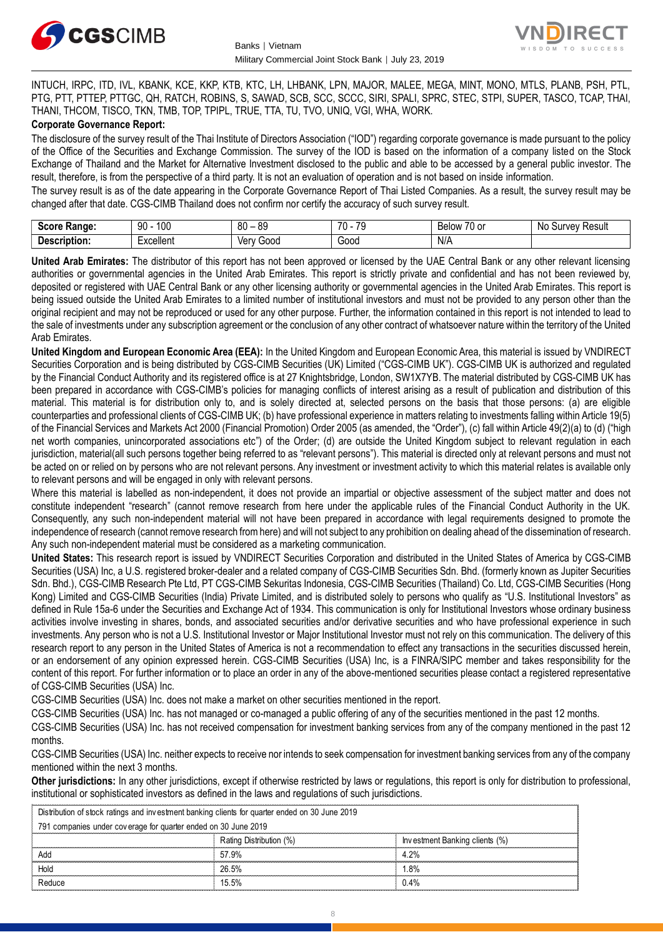



INTUCH, IRPC, ITD, IVL, KBANK, KCE, KKP, KTB, KTC, LH, LHBANK, LPN, MAJOR, MALEE, MEGA, MINT, MONO, MTLS, PLANB, PSH, PTL, PTG, PTT, PTTEP, PTTGC, QH, RATCH, ROBINS, S, SAWAD, SCB, SCC, SCCC, SIRI, SPALI, SPRC, STEC, STPI, SUPER, TASCO, TCAP, THAI, THANI, THCOM, TISCO, TKN, TMB, TOP, TPIPL, TRUE, TTA, TU, TVO, UNIQ, VGI, WHA, WORK.

#### **Corporate Governance Report:**

The disclosure of the survey result of the Thai Institute of Directors Association ("IOD") regarding corporate governance is made pursuant to the policy of the Office of the Securities and Exchange Commission. The survey of the IOD is based on the information of a company listed on the Stock Exchange of Thailand and the Market for Alternative Investment disclosed to the public and able to be accessed by a general public investor. The result, therefore, is from the perspective of a third party. It is not an evaluation of operation and is not based on inside information.

The survey result is as of the date appearing in the Corporate Governance Report of Thai Listed Companies. As a result, the survey result may be changed after that date. CGS-CIMB Thailand does not confirm nor certify the accuracy of such survey result.

| <b>CAAPA</b><br><b>Range:</b><br>. | 100<br>۵N<br>טע<br>ĴU | . RC<br>80       | $\overline{\phantom{a}}$<br>$\overline{\phantom{a}}$<br>$\cdot$ | $\overline{\phantom{a}}$<br>$\sim$<br>RAIMM<br><b>DEIOV</b><br>ו טע | N0<br>Result<br>urvey. |
|------------------------------------|-----------------------|------------------|-----------------------------------------------------------------|---------------------------------------------------------------------|------------------------|
| <b>Descrip</b><br>ription.         | Excellent             | 000خ<br>ver<br>v | Good                                                            | $N/\sim$                                                            |                        |

**United Arab Emirates:** The distributor of this report has not been approved or licensed by the UAE Central Bank or any other relevant licensing authorities or governmental agencies in the United Arab Emirates. This report is strictly private and confidential and has not been reviewed by, deposited or registered with UAE Central Bank or any other licensing authority or governmental agencies in the United Arab Emirates. This report is being issued outside the United Arab Emirates to a limited number of institutional investors and must not be provided to any person other than the original recipient and may not be reproduced or used for any other purpose. Further, the information contained in this report is not intended to lead to the sale of investments under any subscription agreement or the conclusion of any other contract of whatsoever nature within the territory of the United Arab Emirates.

**United Kingdom and European Economic Area (EEA):** In the United Kingdom and European Economic Area, this material is issued by VNDIRECT Securities Corporation and is being distributed by CGS-CIMB Securities (UK) Limited ("CGS-CIMB UK"). CGS-CIMB UK is authorized and regulated by the Financial Conduct Authority and its registered office is at 27 Knightsbridge, London, SW1X7YB. The material distributed by CGS-CIMB UK has been prepared in accordance with CGS-CIMB's policies for managing conflicts of interest arising as a result of publication and distribution of this material. This material is for distribution only to, and is solely directed at, selected persons on the basis that those persons: (a) are eligible counterparties and professional clients of CGS-CIMB UK; (b) have professional experience in matters relating to investments falling within Article 19(5) of the Financial Services and Markets Act 2000 (Financial Promotion) Order 2005 (as amended, the "Order"), (c) fall within Article 49(2)(a) to (d) ("high net worth companies, unincorporated associations etc") of the Order; (d) are outside the United Kingdom subject to relevant regulation in each jurisdiction, material(all such persons together being referred to as "relevant persons"). This material is directed only at relevant persons and must not be acted on or relied on by persons who are not relevant persons. Any investment or investment activity to which this material relates is available only to relevant persons and will be engaged in only with relevant persons.

Where this material is labelled as non-independent, it does not provide an impartial or objective assessment of the subject matter and does not constitute independent "research" (cannot remove research from here under the applicable rules of the Financial Conduct Authority in the UK. Consequently, any such non-independent material will not have been prepared in accordance with legal requirements designed to promote the independence of research (cannot remove research from here) and will not subject to any prohibition on dealing ahead of the dissemination of research. Any such non-independent material must be considered as a marketing communication.

**United States:** This research report is issued by VNDIRECT Securities Corporation and distributed in the United States of America by CGS-CIMB Securities (USA) Inc, a U.S. registered broker-dealer and a related company of CGS-CIMB Securities Sdn. Bhd. (formerly known as Jupiter Securities Sdn. Bhd.), CGS-CIMB Research Pte Ltd, PT CGS-CIMB Sekuritas Indonesia, CGS-CIMB Securities (Thailand) Co. Ltd, CGS-CIMB Securities (Hong Kong) Limited and CGS-CIMB Securities (India) Private Limited, and is distributed solely to persons who qualify as "U.S. Institutional Investors" as defined in Rule 15a-6 under the Securities and Exchange Act of 1934. This communication is only for Institutional Investors whose ordinary business activities involve investing in shares, bonds, and associated securities and/or derivative securities and who have professional experience in such investments. Any person who is not a U.S. Institutional Investor or Major Institutional Investor must not rely on this communication. The delivery of this research report to any person in the United States of America is not a recommendation to effect any transactions in the securities discussed herein, or an endorsement of any opinion expressed herein. CGS-CIMB Securities (USA) Inc, is a FINRA/SIPC member and takes responsibility for the content of this report. For further information or to place an order in any of the above-mentioned securities please contact a registered representative of CGS-CIMB Securities (USA) Inc.

CGS-CIMB Securities (USA) Inc. does not make a market on other securities mentioned in the report.

CGS-CIMB Securities (USA) Inc. has not managed or co-managed a public offering of any of the securities mentioned in the past 12 months.

CGS-CIMB Securities (USA) Inc. has not received compensation for investment banking services from any of the company mentioned in the past 12 months.

CGS-CIMB Securities (USA) Inc. neither expects to receive nor intends to seek compensation for investment banking services from any of the company mentioned within the next 3 months.

**Other jurisdictions:** In any other jurisdictions, except if otherwise restricted by laws or regulations, this report is only for distribution to professional, institutional or sophisticated investors as defined in the laws and regulations of such jurisdictions. entioned within the next 3 months.<br> **ther jurisdictions:** In any other jurisdictions, except if otherwise restricted by lastitutional or sophisticated investors as defined in the laws and regulations of substribution of st

| institutional or sophisticated investors as defined in the laws and regulations of such jurisdictions. |                                                                                                |                         |                                |  |
|--------------------------------------------------------------------------------------------------------|------------------------------------------------------------------------------------------------|-------------------------|--------------------------------|--|
|                                                                                                        | Distribution of stock ratings and investment banking clients for quarter ended on 30 June 2019 |                         |                                |  |
|                                                                                                        | 791 companies under coverage for quarter ended on 30 June 2019                                 |                         |                                |  |
|                                                                                                        |                                                                                                | Rating Distribution (%) | Investment Banking clients (%) |  |
| Add                                                                                                    |                                                                                                | 57.9%                   | 4.2%                           |  |
| Hold                                                                                                   |                                                                                                | 26.5%                   | $.8\%$                         |  |
| Reduce                                                                                                 |                                                                                                | 15.5%                   | 0.4%                           |  |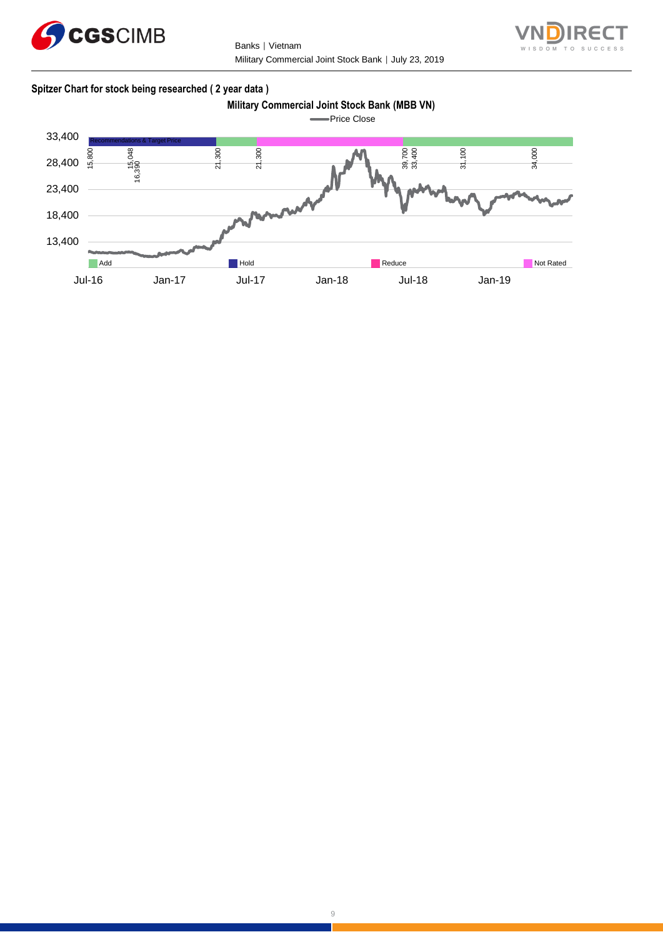

Banks | Vietnam Military Commercial Joint Stock Bank │ July 23, 2019



#### **Spitzer Chart for stock being researched ( 2 year data )**

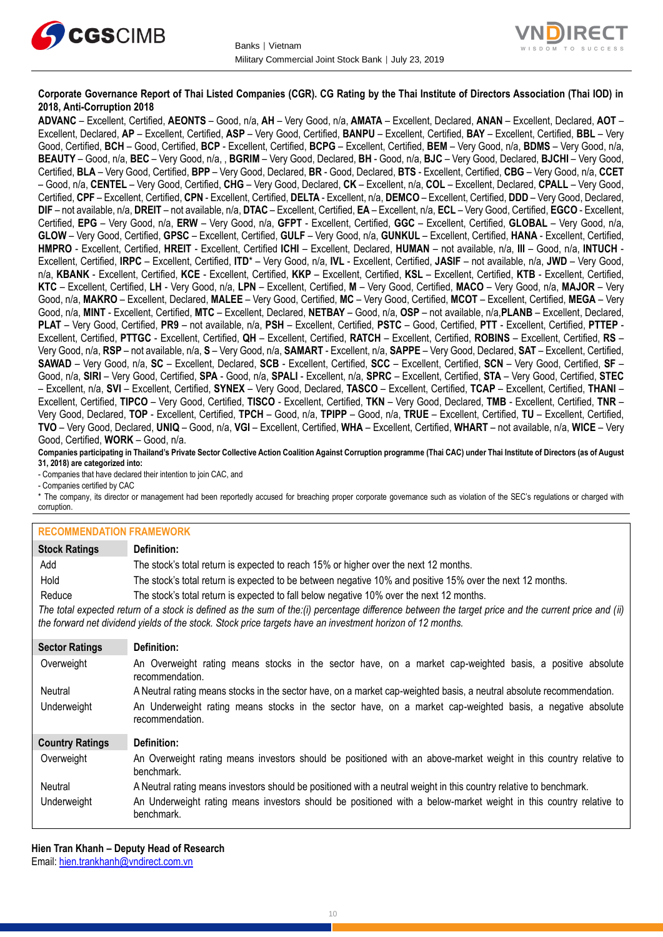



#### **Corporate Governance Report of Thai Listed Companies (CGR). CG Rating by the Thai Institute of Directors Association (Thai IOD) in 2018, Anti-Corruption 2018**

**ADVANC** – Excellent, Certified, **AEONTS** – Good, n/a, **AH** – Very Good, n/a, **AMATA** – Excellent, Declared, **ANAN** – Excellent, Declared, **AOT** – Excellent, Declared, **AP** – Excellent, Certified, **ASP** – Very Good, Certified, **BANPU** – Excellent, Certified, **BAY** – Excellent, Certified, **BBL** – Very Good, Certified, **BCH** – Good, Certified, **BCP** - Excellent, Certified, **BCPG** – Excellent, Certified, **BEM** – Very Good, n/a, **BDMS** – Very Good, n/a, **BEAUTY** – Good, n/a, **BEC** – Very Good, n/a, , **BGRIM** – Very Good, Declared, **BH** - Good, n/a, **BJC** – Very Good, Declared, **BJCHI** – Very Good, Certified, **BLA** – Very Good, Certified, **BPP** – Very Good, Declared, **BR** - Good, Declared, **BTS** - Excellent, Certified, **CBG** – Very Good, n/a, **CCET** – Good, n/a, **CENTEL** – Very Good, Certified, **CHG** – Very Good, Declared, **CK** – Excellent, n/a, **COL** – Excellent, Declared, **CPALL** – Very Good, Certified, **CPF** – Excellent, Certified, **CPN** - Excellent, Certified, **DELTA** - Excellent, n/a, **DEMCO** – Excellent, Certified, **DDD** – Very Good, Declared, **DIF** – not available, n/a, **DREIT** – not available, n/a, **DTAC** – Excellent, Certified, **EA** – Excellent, n/a, **ECL** – Very Good, Certified, **EGCO** - Excellent, Certified, **EPG** – Very Good, n/a, **ERW** – Very Good, n/a, **GFPT** - Excellent, Certified, **GGC** – Excellent, Certified, **GLOBAL** – Very Good, n/a, **GLOW** – Very Good, Certified, **GPSC** – Excellent, Certified, **GULF** – Very Good, n/a, **GUNKUL** – Excellent, Certified, **HANA** - Excellent, Certified, **HMPRO** - Excellent, Certified, **HREIT** - Excellent, Certified **ICHI** – Excellent, Declared, **HUMAN** – not available, n/a, **III** – Good, n/a, **INTUCH** - Excellent, Certified, **IRPC** – Excellent, Certified, **ITD**\* – Very Good, n/a, **IVL** - Excellent, Certified, **JASIF** – not available, n/a, **JWD** – Very Good, n/a, **KBANK** - Excellent, Certified, **KCE** - Excellent, Certified, **KKP** – Excellent, Certified, **KSL** – Excellent, Certified, **KTB** - Excellent, Certified, **KTC** – Excellent, Certified, **LH** - Very Good, n/a, **LPN** – Excellent, Certified, **M** – Very Good, Certified, **MACO** – Very Good, n/a, **MAJOR** – Very Good, n/a, **MAKRO** – Excellent, Declared, **MALEE** – Very Good, Certified, **MC** – Very Good, Certified, **MCOT** – Excellent, Certified, **MEGA** – Very Good, n/a, **MINT** - Excellent, Certified, **MTC** – Excellent, Declared, **NETBAY** – Good, n/a, **OSP** – not available, n/a,**PLANB** – Excellent, Declared, **PLAT** – Very Good, Certified, **PR9** – not available, n/a, **PSH** – Excellent, Certified, **PSTC** – Good, Certified, **PTT** - Excellent, Certified, **PTTEP** - Excellent, Certified, **PTTGC** - Excellent, Certified, **QH** – Excellent, Certified, **RATCH** – Excellent, Certified, **ROBINS** – Excellent, Certified, **RS** – Very Good, n/a, **RSP** – not available, n/a, **S** – Very Good, n/a, **SAMART** - Excellent, n/a, **SAPPE** – Very Good, Declared, **SAT** – Excellent, Certified, **SAWAD** – Very Good, n/a, **SC** – Excellent, Declared, **SCB** - Excellent, Certified, **SCC** – Excellent, Certified, **SCN** – Very Good, Certified, **SF** – Good, n/a, **SIRI** – Very Good, Certified, **SPA** - Good, n/a, **SPALI** - Excellent, n/a, **SPRC** – Excellent, Certified, **STA** – Very Good, Certified, **STEC** – Excellent, n/a, **SVI** – Excellent, Certified, **SYNEX** – Very Good, Declared, **TASCO** – Excellent, Certified, **TCAP** – Excellent, Certified, **THANI** – Excellent, Certified, **TIPCO** – Very Good, Certified, **TISCO** - Excellent, Certified, **TKN** – Very Good, Declared, **TMB** - Excellent, Certified, **TNR** – Very Good, Declared, **TOP** - Excellent, Certified, **TPCH** – Good, n/a, **TPIPP** – Good, n/a, **TRUE** – Excellent, Certified, **TU** – Excellent, Certified, **TVO** – Very Good, Declared, **UNIQ** – Good, n/a, **VGI** – Excellent, Certified, **WHA** – Excellent, Certified, **WHART** – not available, n/a, **WICE** – Very Good, Certified, **WORK** – Good, n/a.

**Companies participating in Thailand's Private Sector Collective Action Coalition Against Corruption programme (Thai CAC) under Thai Institute of Directors (as of August 31, 2018) are categorized into:**

- Companies that have declared their intention to join CAC, and

- Companies certified by CAC

\* The company, its director or management had been reportedly accused for breaching proper corporate governance such as violation of the SEC's regulations or charged with corruption.

#### **RECOMMENDATION FRAMEWORK**

| <b>REGOMINIENDATION FRAMEWORK</b> |                                                                                                                                                                                                                                                                   |  |
|-----------------------------------|-------------------------------------------------------------------------------------------------------------------------------------------------------------------------------------------------------------------------------------------------------------------|--|
| <b>Stock Ratings</b>              | Definition:                                                                                                                                                                                                                                                       |  |
| Add                               | The stock's total return is expected to reach 15% or higher over the next 12 months.                                                                                                                                                                              |  |
| Hold                              | The stock's total return is expected to be between negative 10% and positive 15% over the next 12 months.                                                                                                                                                         |  |
| Reduce                            | The stock's total return is expected to fall below negative 10% over the next 12 months.                                                                                                                                                                          |  |
|                                   | The total expected return of a stock is defined as the sum of the:(i) percentage difference between the target price and the current price and (ii)<br>the forward net dividend yields of the stock. Stock price targets have an investment horizon of 12 months. |  |
| <b>Sector Ratings</b>             | Definition:                                                                                                                                                                                                                                                       |  |
| Overweight                        | An Overweight rating means stocks in the sector have, on a market cap-weighted basis, a positive absolute<br>recommendation.                                                                                                                                      |  |
| Neutral                           | A Neutral rating means stocks in the sector have, on a market cap-weighted basis, a neutral absolute recommendation.                                                                                                                                              |  |
| Underweight                       | An Underweight rating means stocks in the sector have, on a market cap-weighted basis, a negative absolute<br>recommendation.                                                                                                                                     |  |
| <b>Country Ratings</b>            | Definition:                                                                                                                                                                                                                                                       |  |
| Overweight                        | An Overweight rating means investors should be positioned with an above-market weight in this country relative to<br>benchmark.                                                                                                                                   |  |
| Neutral                           | A Neutral rating means investors should be positioned with a neutral weight in this country relative to benchmark.                                                                                                                                                |  |
| Underweight                       | An Underweight rating means investors should be positioned with a below-market weight in this country relative to                                                                                                                                                 |  |

**Hien Tran Khanh – Deputy Head of Research** Email: [hien.trankhanh@vndirect.com.vn](mailto:hien.trankhanh@vndirect.com.vn)

benchmark.